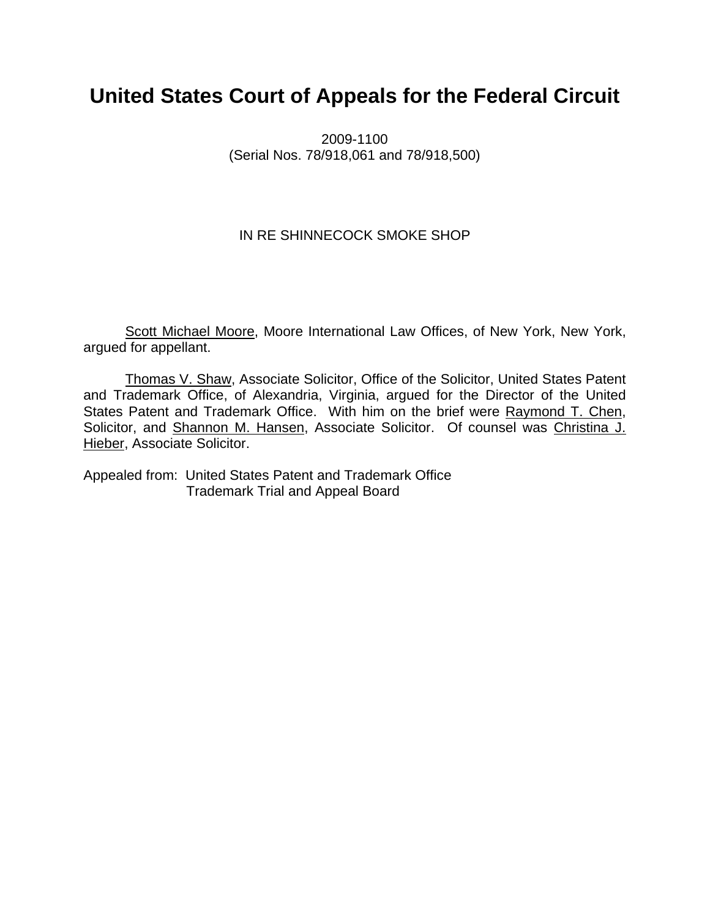# **United States Court of Appeals for the Federal Circuit**

2009-1100 (Serial Nos. 78/918,061 and 78/918,500)

## IN RE SHINNECOCK SMOKE SHOP

Scott Michael Moore, Moore International Law Offices, of New York, New York, argued for appellant.

Thomas V. Shaw, Associate Solicitor, Office of the Solicitor, United States Patent and Trademark Office, of Alexandria, Virginia, argued for the Director of the United States Patent and Trademark Office. With him on the brief were Raymond T. Chen, Solicitor, and Shannon M. Hansen, Associate Solicitor. Of counsel was Christina J. Hieber, Associate Solicitor.

Appealed from: United States Patent and Trademark Office Trademark Trial and Appeal Board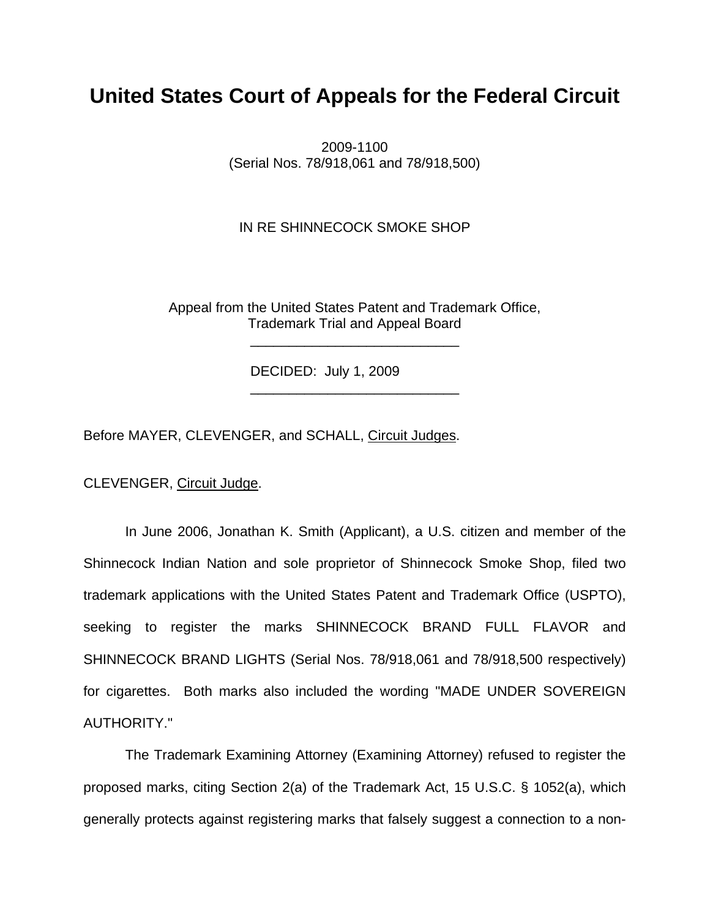## **United States Court of Appeals for the Federal Circuit**

2009-1100 (Serial Nos. 78/918,061 and 78/918,500)

IN RE SHINNECOCK SMOKE SHOP

Appeal from the United States Patent and Trademark Office, Trademark Trial and Appeal Board

DECIDED: July 1, 2009

 $\frac{1}{\sqrt{2}}$  ,  $\frac{1}{\sqrt{2}}$  ,  $\frac{1}{\sqrt{2}}$  ,  $\frac{1}{\sqrt{2}}$  ,  $\frac{1}{\sqrt{2}}$  ,  $\frac{1}{\sqrt{2}}$  ,  $\frac{1}{\sqrt{2}}$  ,  $\frac{1}{\sqrt{2}}$  ,  $\frac{1}{\sqrt{2}}$  ,  $\frac{1}{\sqrt{2}}$  ,  $\frac{1}{\sqrt{2}}$  ,  $\frac{1}{\sqrt{2}}$  ,  $\frac{1}{\sqrt{2}}$  ,  $\frac{1}{\sqrt{2}}$  ,  $\frac{1}{\sqrt{2}}$ 

 $\frac{1}{\sqrt{2}}$  ,  $\frac{1}{\sqrt{2}}$  ,  $\frac{1}{\sqrt{2}}$  ,  $\frac{1}{\sqrt{2}}$  ,  $\frac{1}{\sqrt{2}}$  ,  $\frac{1}{\sqrt{2}}$  ,  $\frac{1}{\sqrt{2}}$  ,  $\frac{1}{\sqrt{2}}$  ,  $\frac{1}{\sqrt{2}}$  ,  $\frac{1}{\sqrt{2}}$  ,  $\frac{1}{\sqrt{2}}$  ,  $\frac{1}{\sqrt{2}}$  ,  $\frac{1}{\sqrt{2}}$  ,  $\frac{1}{\sqrt{2}}$  ,  $\frac{1}{\sqrt{2}}$ 

Before MAYER, CLEVENGER, and SCHALL, Circuit Judges.

CLEVENGER, Circuit Judge.

In June 2006, Jonathan K. Smith (Applicant), a U.S. citizen and member of the Shinnecock Indian Nation and sole proprietor of Shinnecock Smoke Shop, filed two trademark applications with the United States Patent and Trademark Office (USPTO), seeking to register the marks SHINNECOCK BRAND FULL FLAVOR and SHINNECOCK BRAND LIGHTS (Serial Nos. 78/918,061 and 78/918,500 respectively) for cigarettes. Both marks also included the wording "MADE UNDER SOVEREIGN AUTHORITY."

The Trademark Examining Attorney (Examining Attorney) refused to register the proposed marks, citing Section 2(a) of the Trademark Act, 15 U.S.C. § 1052(a), which generally protects against registering marks that falsely suggest a connection to a non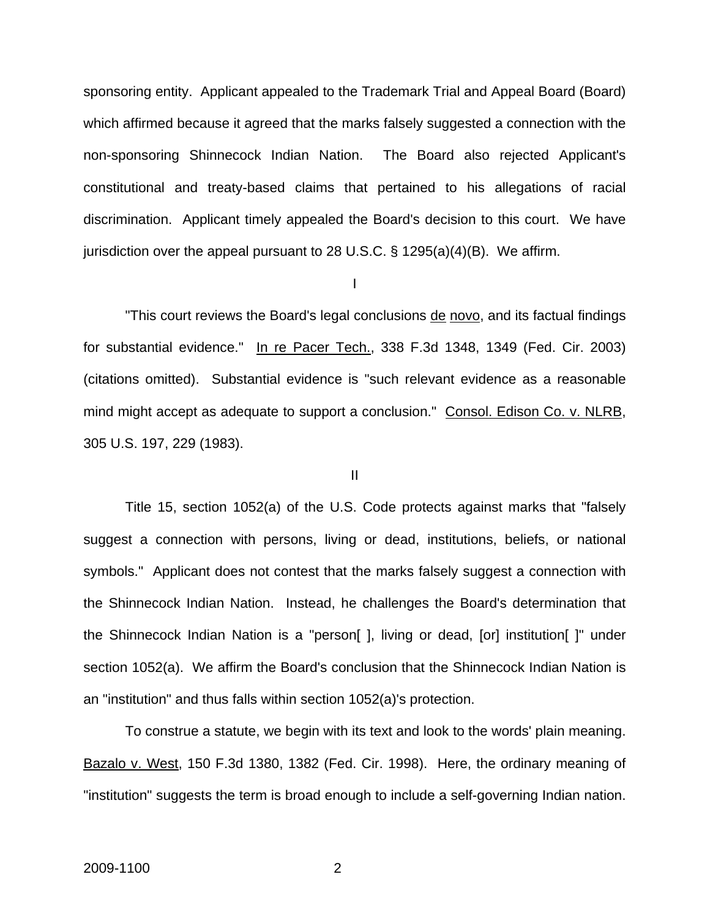sponsoring entity. Applicant appealed to the Trademark Trial and Appeal Board (Board) which affirmed because it agreed that the marks falsely suggested a connection with the non-sponsoring Shinnecock Indian Nation. The Board also rejected Applicant's constitutional and treaty-based claims that pertained to his allegations of racial discrimination. Applicant timely appealed the Board's decision to this court. We have jurisdiction over the appeal pursuant to 28 U.S.C.  $\S$  1295(a)(4)(B). We affirm.

I

"This court reviews the Board's legal conclusions de novo, and its factual findings for substantial evidence." In re Pacer Tech., 338 F.3d 1348, 1349 (Fed. Cir. 2003) (citations omitted). Substantial evidence is "such relevant evidence as a reasonable mind might accept as adequate to support a conclusion." Consol. Edison Co. v. NLRB, 305 U.S. 197, 229 (1983).

#### II

Title 15, section 1052(a) of the U.S. Code protects against marks that "falsely suggest a connection with persons, living or dead, institutions, beliefs, or national symbols." Applicant does not contest that the marks falsely suggest a connection with the Shinnecock Indian Nation. Instead, he challenges the Board's determination that the Shinnecock Indian Nation is a "person[ ], living or dead, [or] institution[ ]" under section 1052(a). We affirm the Board's conclusion that the Shinnecock Indian Nation is an "institution" and thus falls within section 1052(a)'s protection.

To construe a statute, we begin with its text and look to the words' plain meaning. Bazalo v. West, 150 F.3d 1380, 1382 (Fed. Cir. 1998). Here, the ordinary meaning of "institution" suggests the term is broad enough to include a self-governing Indian nation.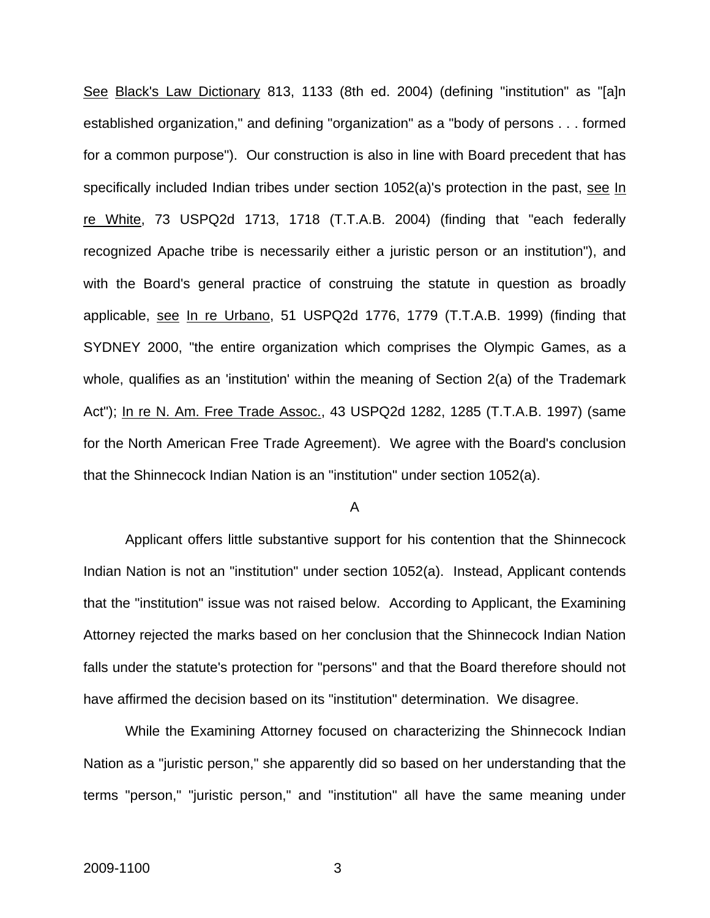See Black's Law Dictionary 813, 1133 (8th ed. 2004) (defining "institution" as "[a]n established organization," and defining "organization" as a "body of persons . . . formed for a common purpose"). Our construction is also in line with Board precedent that has specifically included Indian tribes under section 1052(a)'s protection in the past, see In re White, 73 USPQ2d 1713, 1718 (T.T.A.B. 2004) (finding that "each federally recognized Apache tribe is necessarily either a juristic person or an institution"), and with the Board's general practice of construing the statute in question as broadly applicable, see In re Urbano, 51 USPQ2d 1776, 1779 (T.T.A.B. 1999) (finding that SYDNEY 2000, "the entire organization which comprises the Olympic Games, as a whole, qualifies as an 'institution' within the meaning of Section 2(a) of the Trademark Act"); In re N. Am. Free Trade Assoc., 43 USPQ2d 1282, 1285 (T.T.A.B. 1997) (same for the North American Free Trade Agreement). We agree with the Board's conclusion that the Shinnecock Indian Nation is an "institution" under section 1052(a).

#### A

Applicant offers little substantive support for his contention that the Shinnecock Indian Nation is not an "institution" under section 1052(a). Instead, Applicant contends that the "institution" issue was not raised below. According to Applicant, the Examining Attorney rejected the marks based on her conclusion that the Shinnecock Indian Nation falls under the statute's protection for "persons" and that the Board therefore should not have affirmed the decision based on its "institution" determination. We disagree.

While the Examining Attorney focused on characterizing the Shinnecock Indian Nation as a "juristic person," she apparently did so based on her understanding that the terms "person," "juristic person," and "institution" all have the same meaning under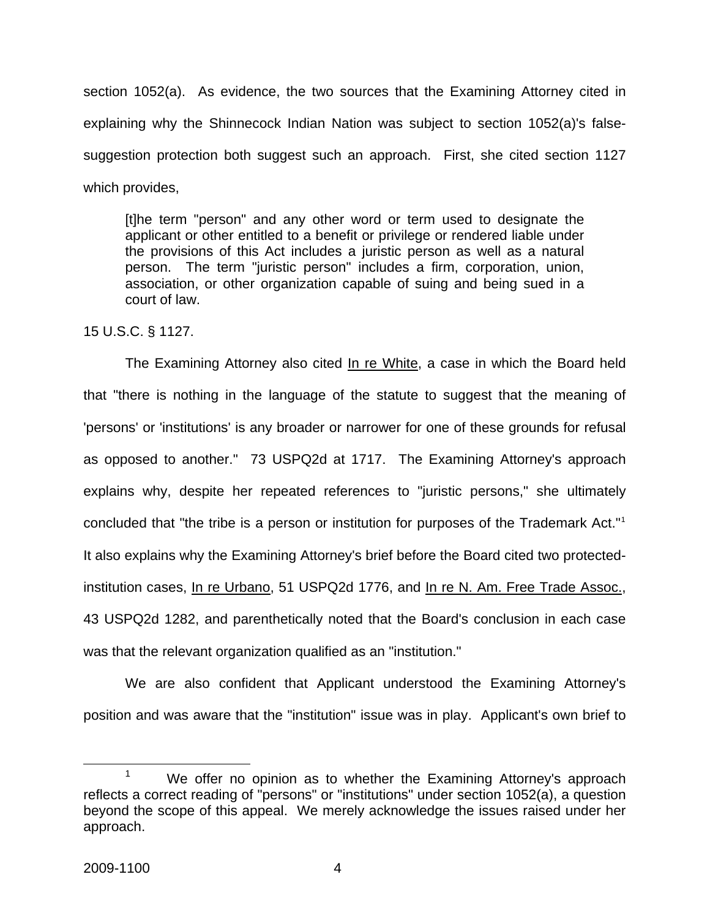section 1052(a). As evidence, the two sources that the Examining Attorney cited in explaining why the Shinnecock Indian Nation was subject to section 1052(a)'s falsesuggestion protection both suggest such an approach. First, she cited section 1127 which provides,

[t]he term "person" and any other word or term used to designate the applicant or other entitled to a benefit or privilege or rendered liable under the provisions of this Act includes a juristic person as well as a natural person. The term "juristic person" includes a firm, corporation, union, association, or other organization capable of suing and being sued in a court of law.

15 U.S.C. § 1127.

The Examining Attorney also cited In re White, a case in which the Board held that "there is nothing in the language of the statute to suggest that the meaning of 'persons' or 'institutions' is any broader or narrower for one of these grounds for refusal as opposed to another." 73 USPQ2d at 1717. The Examining Attorney's approach explains why, despite her repeated references to "juristic persons," she ultimately concluded that "the tribe is a person or institution for purposes of the Trademark Act."[1](#page-4-0) It also explains why the Examining Attorney's brief before the Board cited two protectedinstitution cases, In re Urbano, 51 USPQ2d 1776, and In re N. Am. Free Trade Assoc., 43 USPQ2d 1282, and parenthetically noted that the Board's conclusion in each case was that the relevant organization qualified as an "institution."

We are also confident that Applicant understood the Examining Attorney's position and was aware that the "institution" issue was in play. Applicant's own brief to

<span id="page-4-0"></span><sup>&</sup>lt;sup>1</sup> We offer no opinion as to whether the Examining Attorney's approach reflects a correct reading of "persons" or "institutions" under section 1052(a), a question beyond the scope of this appeal. We merely acknowledge the issues raised under her approach.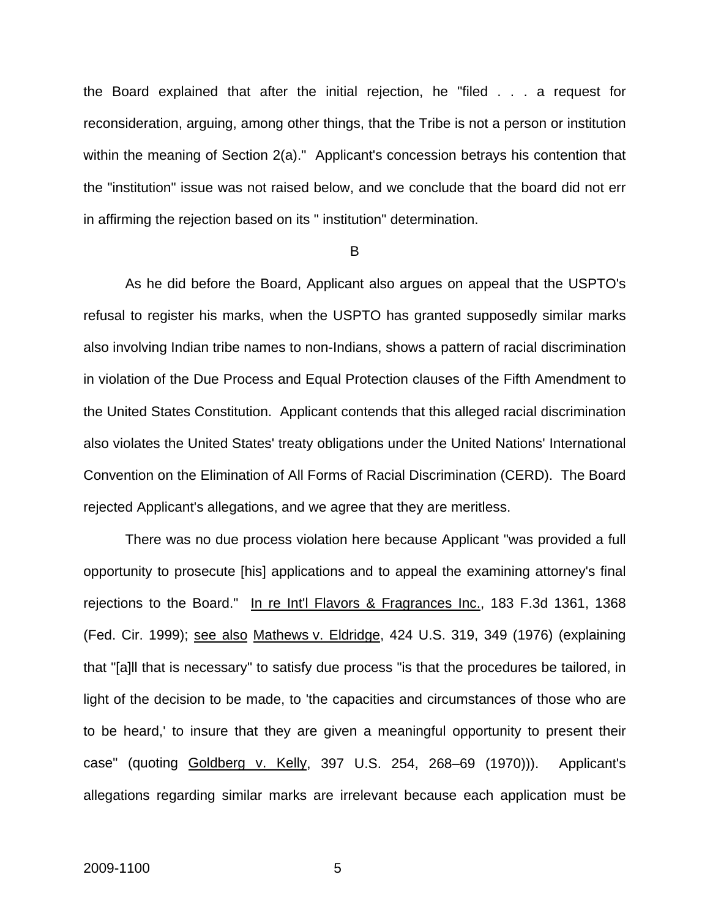the Board explained that after the initial rejection, he "filed . . . a request for reconsideration, arguing, among other things, that the Tribe is not a person or institution within the meaning of Section 2(a)." Applicant's concession betrays his contention that the "institution" issue was not raised below, and we conclude that the board did not err in affirming the rejection based on its " institution" determination.

#### B

As he did before the Board, Applicant also argues on appeal that the USPTO's refusal to register his marks, when the USPTO has granted supposedly similar marks also involving Indian tribe names to non-Indians, shows a pattern of racial discrimination in violation of the Due Process and Equal Protection clauses of the Fifth Amendment to the United States Constitution. Applicant contends that this alleged racial discrimination also violates the United States' treaty obligations under the United Nations' International Convention on the Elimination of All Forms of Racial Discrimination (CERD). The Board rejected Applicant's allegations, and we agree that they are meritless.

There was no due process violation here because Applicant "was provided a full opportunity to prosecute [his] applications and to appeal the examining attorney's final rejections to the Board." In re Int'l Flavors & Fragrances Inc., 183 F.3d 1361, 1368 (Fed. Cir. 1999); see also Mathews v. Eldridge, 424 U.S. 319, 349 (1976) (explaining that "[a]ll that is necessary" to satisfy due process "is that the procedures be tailored, in light of the decision to be made, to 'the capacities and circumstances of those who are to be heard,' to insure that they are given a meaningful opportunity to present their case" (quoting Goldberg v. Kelly, 397 U.S. 254, 268–69 (1970))). Applicant's allegations regarding similar marks are irrelevant because each application must be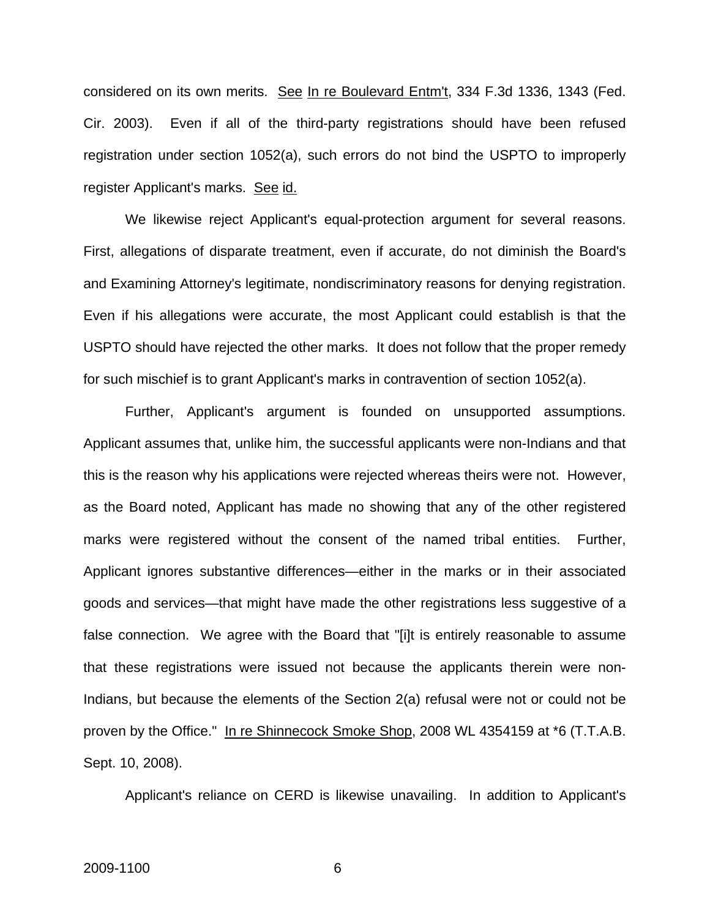considered on its own merits. See In re Boulevard Entm't, 334 F.3d 1336, 1343 (Fed. Cir. 2003). Even if all of the third-party registrations should have been refused registration under section 1052(a), such errors do not bind the USPTO to improperly register Applicant's marks. See id.

We likewise reject Applicant's equal-protection argument for several reasons. First, allegations of disparate treatment, even if accurate, do not diminish the Board's and Examining Attorney's legitimate, nondiscriminatory reasons for denying registration. Even if his allegations were accurate, the most Applicant could establish is that the USPTO should have rejected the other marks. It does not follow that the proper remedy for such mischief is to grant Applicant's marks in contravention of section 1052(a).

Further, Applicant's argument is founded on unsupported assumptions. Applicant assumes that, unlike him, the successful applicants were non-Indians and that this is the reason why his applications were rejected whereas theirs were not. However, as the Board noted, Applicant has made no showing that any of the other registered marks were registered without the consent of the named tribal entities. Further, Applicant ignores substantive differences—either in the marks or in their associated goods and services—that might have made the other registrations less suggestive of a false connection. We agree with the Board that "[i]t is entirely reasonable to assume that these registrations were issued not because the applicants therein were non-Indians, but because the elements of the Section 2(a) refusal were not or could not be proven by the Office." In re Shinnecock Smoke Shop, 2008 WL 4354159 at \*6 (T.T.A.B. Sept. 10, 2008).

Applicant's reliance on CERD is likewise unavailing. In addition to Applicant's